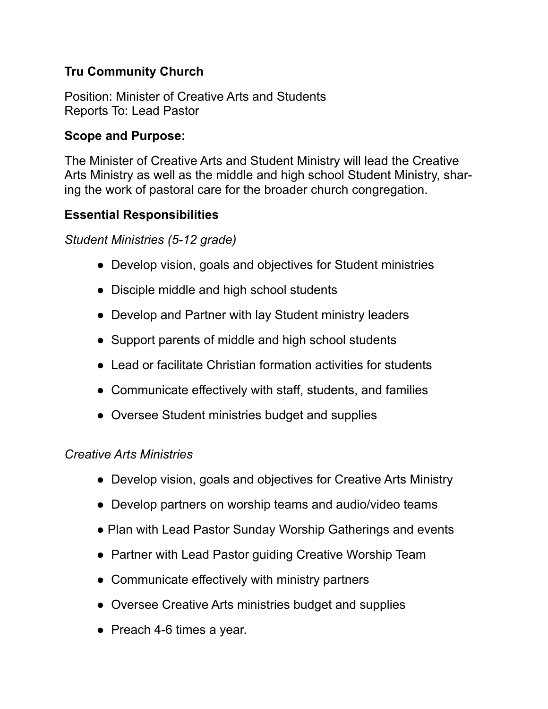### **Tru Community Church**

Position: Minister of Creative Arts and Students Reports To: Lead Pastor

### **Scope and Purpose:**

The Minister of Creative Arts and Student Ministry will lead the Creative Arts Ministry as well as the middle and high school Student Ministry, sharing the work of pastoral care for the broader church congregation.

### **Essential Responsibilities**

*Student Ministries (5-12 grade)* 

- Develop vision, goals and objectives for Student ministries
- Disciple middle and high school students
- Develop and Partner with lay Student ministry leaders
- Support parents of middle and high school students
- Lead or facilitate Christian formation activities for students
- Communicate effectively with staff, students, and families
- Oversee Student ministries budget and supplies

#### *Creative Arts Ministries*

- *●* Develop vision, goals and objectives for Creative Arts Ministry
- Develop partners on worship teams and audio/video teams
- Plan with Lead Pastor Sunday Worship Gatherings and events
- Partner with Lead Pastor guiding Creative Worship Team
- Communicate effectively with ministry partners
- Oversee Creative Arts ministries budget and supplies
- Preach 4-6 times a year.